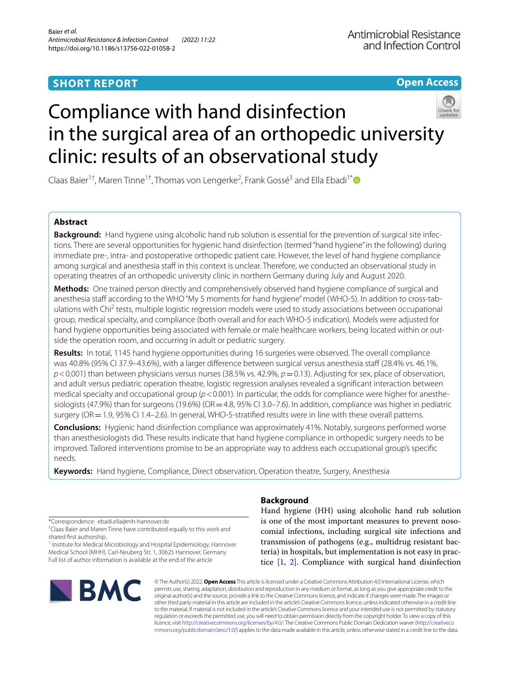## **SHORT REPORT**

**Open Access**

# Compliance with hand disinfection in the surgical area of an orthopedic university clinic: results of an observational study

Claas Baier<sup>1†</sup>, Maren Tinne<sup>1†</sup>, Thomas von Lengerke<sup>2</sup>, Frank Gossé<sup>3</sup> and Ella Ebadi<sup>1[\\*](http://orcid.org/0000-0001-6875-4755)</sup>

### **Abstract**

**Background:** Hand hygiene using alcoholic hand rub solution is essential for the prevention of surgical site infections. There are several opportunities for hygienic hand disinfection (termed "hand hygiene" in the following) during immediate pre-, intra- and postoperative orthopedic patient care. However, the level of hand hygiene compliance among surgical and anesthesia staff in this context is unclear. Therefore, we conducted an observational study in operating theatres of an orthopedic university clinic in northern Germany during July and August 2020.

**Methods:** One trained person directly and comprehensively observed hand hygiene compliance of surgical and anesthesia staf according to the WHO "My 5 moments for hand hygiene" model (WHO-5). In addition to cross-tabulations with Chi<sup>2</sup> tests, multiple logistic regression models were used to study associations between occupational group, medical specialty, and compliance (both overall and for each WHO-5 indication). Models were adjusted for hand hygiene opportunities being associated with female or male healthcare workers, being located within or outside the operation room, and occurring in adult or pediatric surgery.

**Results:** In total, 1145 hand hygiene opportunities during 16 surgeries were observed. The overall compliance was 40.8% (95% CI 37.9–43.6%), with a larger diference between surgical versus anesthesia staf (28.4% vs. 46.1%, *p*<0.001) than between physicians versus nurses (38.5% vs. 42.9%, *p*=0.13). Adjusting for sex, place of observation, and adult versus pediatric operation theatre, logistic regression analyses revealed a signifcant interaction between medical specialty and occupational group (*p*<0.001). In particular, the odds for compliance were higher for anesthesiologists (47.9%) than for surgeons (19.6%) (OR = 4.8, 95% CI 3.0–7.6). In addition, compliance was higher in pediatric surgery (OR = 1.9, 95% CI 1.4–2.6). In general, WHO-5-stratified results were in line with these overall patterns.

**Conclusions:** Hygienic hand disinfection compliance was approximately 41%. Notably, surgeons performed worse than anesthesiologists did. These results indicate that hand hygiene compliance in orthopedic surgery needs to be improved. Tailored interventions promise to be an appropriate way to address each occupational group's specifc needs.

**Keywords:** Hand hygiene, Compliance, Direct observation, Operation theatre, Surgery, Anesthesia

\*Correspondence: ebadi.ella@mh-hannover.de

† Claas Baier and Maren Tinne have contributed equally to this work and shared frst authorship.

<sup>1</sup> Institute for Medical Microbiology and Hospital Epidemiology, Hannover Medical School (MHH), Carl-Neuberg Str. 1, 30625 Hannover, Germany Full list of author information is available at the end of the article



## **Background**

Hand hygiene (HH) using alcoholic hand rub solution is one of the most important measures to prevent nosocomial infections, including surgical site infections and transmission of pathogens (e.g., multidrug resistant bacteria) in hospitals, but implementation is not easy in practice [[1,](#page-6-0) [2](#page-6-1)]. Compliance with surgical hand disinfection

© The Author(s) 2022. **Open Access** This article is licensed under a Creative Commons Attribution 4.0 International License, which permits use, sharing, adaptation, distribution and reproduction in any medium or format, as long as you give appropriate credit to the original author(s) and the source, provide a link to the Creative Commons licence, and indicate if changes were made. The images or other third party material in this article are included in the article's Creative Commons licence, unless indicated otherwise in a credit line to the material. If material is not included in the article's Creative Commons licence and your intended use is not permitted by statutory regulation or exceeds the permitted use, you will need to obtain permission directly from the copyright holder. To view a copy of this licence, visit [http://creativecommons.org/licenses/by/4.0/.](http://creativecommons.org/licenses/by/4.0/) The Creative Commons Public Domain Dedication waiver ([http://creativeco](http://creativecommons.org/publicdomain/zero/1.0/) [mmons.org/publicdomain/zero/1.0/](http://creativecommons.org/publicdomain/zero/1.0/)) applies to the data made available in this article, unless otherwise stated in a credit line to the data.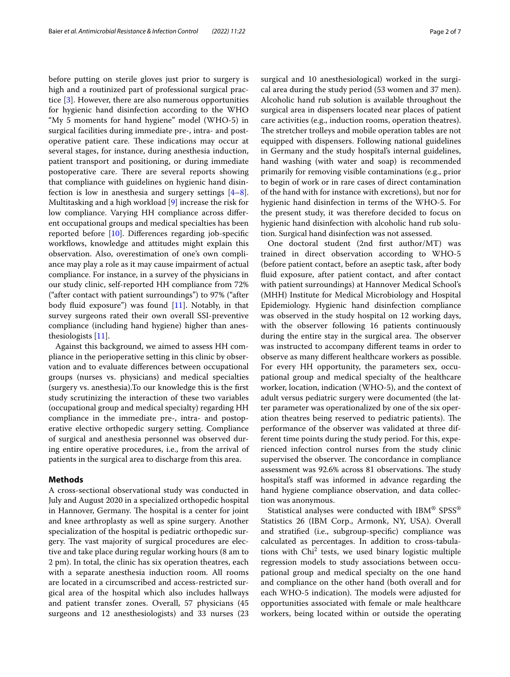before putting on sterile gloves just prior to surgery is high and a routinized part of professional surgical practice [\[3](#page-6-2)]. However, there are also numerous opportunities for hygienic hand disinfection according to the WHO "My 5 moments for hand hygiene" model (WHO-5) in surgical facilities during immediate pre-, intra- and postoperative patient care. These indications may occur at several stages, for instance, during anesthesia induction, patient transport and positioning, or during immediate postoperative care. There are several reports showing that compliance with guidelines on hygienic hand disinfection is low in anesthesia and surgery settings [\[4](#page-6-3)[–8](#page-6-4)]. Multitasking and a high workload [[9\]](#page-6-5) increase the risk for low compliance. Varying HH compliance across diferent occupational groups and medical specialties has been reported before [[10\]](#page-6-6). Diferences regarding job-specifc workflows, knowledge and attitudes might explain this observation. Also, overestimation of one's own compliance may play a role as it may cause impairment of actual compliance. For instance, in a survey of the physicians in our study clinic, self-reported HH compliance from 72% ("after contact with patient surroundings") to 97% ("after body fluid exposure") was found  $[11]$  $[11]$ . Notably, in that survey surgeons rated their own overall SSI-preventive compliance (including hand hygiene) higher than anesthesiologists [\[11\]](#page-6-7).

Against this background, we aimed to assess HH compliance in the perioperative setting in this clinic by observation and to evaluate diferences between occupational groups (nurses vs. physicians) and medical specialties (surgery vs. anesthesia).To our knowledge this is the frst study scrutinizing the interaction of these two variables (occupational group and medical specialty) regarding HH compliance in the immediate pre-, intra- and postoperative elective orthopedic surgery setting. Compliance of surgical and anesthesia personnel was observed during entire operative procedures, i.e., from the arrival of patients in the surgical area to discharge from this area.

#### **Methods**

A cross-sectional observational study was conducted in July and August 2020 in a specialized orthopedic hospital in Hannover, Germany. The hospital is a center for joint and knee arthroplasty as well as spine surgery. Another specialization of the hospital is pediatric orthopedic surgery. The vast majority of surgical procedures are elective and take place during regular working hours (8 am to 2 pm). In total, the clinic has six operation theatres, each with a separate anesthesia induction room. All rooms are located in a circumscribed and access-restricted surgical area of the hospital which also includes hallways and patient transfer zones. Overall, 57 physicians (45 surgeons and 12 anesthesiologists) and 33 nurses (23 surgical and 10 anesthesiological) worked in the surgical area during the study period (53 women and 37 men). Alcoholic hand rub solution is available throughout the surgical area in dispensers located near places of patient care activities (e.g., induction rooms, operation theatres). The stretcher trolleys and mobile operation tables are not equipped with dispensers. Following national guidelines in Germany and the study hospital's internal guidelines, hand washing (with water and soap) is recommended primarily for removing visible contaminations (e.g., prior to begin of work or in rare cases of direct contamination of the hand with for instance with excretions), but nor for hygienic hand disinfection in terms of the WHO-5. For the present study, it was therefore decided to focus on hygienic hand disinfection with alcoholic hand rub solution. Surgical hand disinfection was not assessed.

One doctoral student (2nd frst author/MT) was trained in direct observation according to WHO-5 (before patient contact, before an aseptic task, after body fuid exposure, after patient contact, and after contact with patient surroundings) at Hannover Medical School's (MHH) Institute for Medical Microbiology and Hospital Epidemiology. Hygienic hand disinfection compliance was observed in the study hospital on 12 working days, with the observer following 16 patients continuously during the entire stay in the surgical area. The observer was instructed to accompany diferent teams in order to observe as many diferent healthcare workers as possible. For every HH opportunity, the parameters sex, occupational group and medical specialty of the healthcare worker, location, indication (WHO-5), and the context of adult versus pediatric surgery were documented (the latter parameter was operationalized by one of the six operation theatres being reserved to pediatric patients). The performance of the observer was validated at three different time points during the study period. For this, experienced infection control nurses from the study clinic supervised the observer. The concordance in compliance assessment was 92.6% across 81 observations. The study hospital's staff was informed in advance regarding the hand hygiene compliance observation, and data collection was anonymous.

Statistical analyses were conducted with IBM® SPSS® Statistics 26 (IBM Corp., Armonk, NY, USA). Overall and stratifed (i.e., subgroup-specifc) compliance was calculated as percentages. In addition to cross-tabulations with Chi<sup>2</sup> tests, we used binary logistic multiple regression models to study associations between occupational group and medical specialty on the one hand and compliance on the other hand (both overall and for each WHO-5 indication). The models were adjusted for opportunities associated with female or male healthcare workers, being located within or outside the operating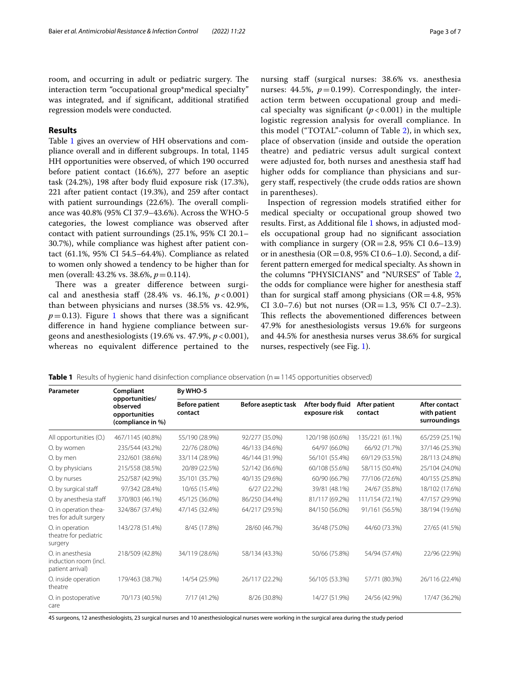room, and occurring in adult or pediatric surgery. The interaction term "occupational group\*medical specialty" was integrated, and if signifcant, additional stratifed regression models were conducted.

#### **Results**

Table [1](#page-2-0) gives an overview of HH observations and compliance overall and in diferent subgroups. In total, 1145 HH opportunities were observed, of which 190 occurred before patient contact (16.6%), 277 before an aseptic task (24.2%), 198 after body fuid exposure risk (17.3%), 221 after patient contact (19.3%), and 259 after contact with patient surroundings (22.6%). The overall compliance was 40.8% (95% CI 37.9–43.6%). Across the WHO-5 categories, the lowest compliance was observed after contact with patient surroundings (25.1%, 95% CI 20.1– 30.7%), while compliance was highest after patient contact (61.1%, 95% CI 54.5–64.4%). Compliance as related to women only showed a tendency to be higher than for men (overall: 43.2% vs. 38.6%,  $p = 0.114$ ).

There was a greater difference between surgical and anesthesia staf (28.4% vs. 46.1%, *p* < 0.001) than between physicians and nurses (38.5% vs. 42.9%,  $p=0.13$  $p=0.13$  $p=0.13$ ). Figure 1 shows that there was a significant diference in hand hygiene compliance between surgeons and anesthesiologists (19.6% vs. 47.9%, *p* < 0.001), whereas no equivalent diference pertained to the nursing staf (surgical nurses: 38.6% vs. anesthesia nurses:  $44.5\%$ ,  $p=0.199$ ). Correspondingly, the interaction term between occupational group and medical specialty was significant  $(p < 0.001)$  in the multiple logistic regression analysis for overall compliance. In this model ("TOTAL"-column of Table [2](#page-4-0)), in which sex, place of observation (inside and outside the operation theatre) and pediatric versus adult surgical context were adjusted for, both nurses and anesthesia staf had higher odds for compliance than physicians and surgery staf, respectively (the crude odds ratios are shown in parentheses).

Inspection of regression models stratifed either for medical specialty or occupational group showed two results. First, as Additional fle [1](#page-5-0) shows, in adjusted models occupational group had no signifcant association with compliance in surgery  $(OR = 2.8, 95\% \text{ CI } 0.6-13.9)$ or in anesthesia ( $OR = 0.8$ , 95% CI 0.6–1.0). Second, a different pattern emerged for medical specialty. As shown in the columns "PHYSICIANS" and "NURSES" of Table [2](#page-4-0), the odds for compliance were higher for anesthesia staf than for surgical staff among physicians ( $OR = 4.8$ , 95%) CI 3.0–7.6) but not nurses (OR=1.3, 95% CI 0.7–2.3). This reflects the abovementioned differences between 47.9% for anesthesiologists versus 19.6% for surgeons and 44.5% for anesthesia nurses verus 38.6% for surgical nurses, respectively (see Fig. [1](#page-3-0)).

<span id="page-2-0"></span>**Table 1** Results of hygienic hand disinfection compliance observation (n = 1145 opportunities observed)

| Parameter                                                     | Compliant                                                        | By WHO-5                         |                                  |                                   |                          |                                               |  |  |
|---------------------------------------------------------------|------------------------------------------------------------------|----------------------------------|----------------------------------|-----------------------------------|--------------------------|-----------------------------------------------|--|--|
|                                                               | opportunities/<br>observed<br>opportunities<br>(compliance in %) | <b>Before patient</b><br>contact | Before aseptic task              | After body fluid<br>exposure risk | After patient<br>contact | After contact<br>with patient<br>surroundings |  |  |
| All opportunities (O.)                                        | 467/1145 (40.8%)                                                 | 55/190 (28.9%)                   | 92/277 (35.0%)                   | 120/198 (60.6%)                   | 135/221 (61.1%)          | 65/259 (25.1%)                                |  |  |
| O. by women                                                   | 235/544 (43.2%)                                                  | 22/76 (28.0%)                    | 46/133 (34.6%)                   | 64/97 (66.0%)                     | 66/92 (71.7%)            | 37/146 (25.3%)                                |  |  |
| O. by men                                                     | 232/601 (38.6%)                                                  | 33/114 (28.9%)                   | 56/101 (55.4%)<br>46/144 (31.9%) |                                   | 69/129 (53.5%)           | 28/113 (24.8%)                                |  |  |
| O. by physicians                                              | 215/558 (38.5%)                                                  | 20/89 (22.5%)                    | 52/142 (36.6%)                   | 60/108 (55.6%)<br>58/115 (50.4%)  |                          | 25/104 (24.0%)                                |  |  |
| O. by nurses                                                  | 252/587 (42.9%)                                                  | 35/101 (35.7%)                   | 40/135 (29.6%)                   | 60/90 (66.7%)<br>77/106 (72.6%)   |                          | 40/155 (25.8%)                                |  |  |
| O. by surgical staff                                          | 97/342 (28.4%)                                                   | 10/65 (15.4%)                    | 6/27(22.2%)                      | 39/81 (48.1%)                     | 24/67 (35.8%)            | 18/102 (17.6%)                                |  |  |
| O. by anesthesia staff                                        | 370/803 (46.1%)                                                  | 45/125 (36.0%)                   | 86/250 (34.4%)                   | 81/117 (69.2%)                    | 111/154 (72.1%)          | 47/157 (29.9%)                                |  |  |
| O. in operation thea-<br>tres for adult surgery               | 324/867 (37.4%)                                                  | 47/145 (32.4%)                   | 64/217 (29.5%)                   | 84/150 (56.0%)<br>91/161 (56.5%)  |                          | 38/194 (19.6%)                                |  |  |
| O. in operation<br>theatre for pediatric<br>surgery           | 143/278 (51.4%)                                                  | 8/45 (17.8%)                     | 28/60 (46.7%)                    | 36/48 (75.0%)<br>44/60 (73.3%)    |                          | 27/65 (41.5%)                                 |  |  |
| O. in anesthesia<br>induction room (incl.<br>patient arrival) | 218/509 (42.8%)                                                  | 34/119 (28.6%)                   | 58/134 (43.3%)                   | 50/66 (75.8%)                     | 54/94 (57.4%)            | 22/96 (22.9%)                                 |  |  |
| O. inside operation<br>theatre                                | 179/463 (38.7%)                                                  | 14/54 (25.9%)                    | 26/117 (22.2%)                   | 56/105 (53.3%)                    | 57/71 (80.3%)            | 26/116 (22.4%)                                |  |  |
| O. in postoperative<br>care                                   | 70/173 (40.5%)                                                   | 7/17 (41.2%)                     | 8/26 (30.8%)                     | 14/27 (51.9%)                     | 24/56 (42.9%)            | 17/47 (36.2%)                                 |  |  |

45 surgeons, 12 anesthesiologists, 23 surgical nurses and 10 anesthesiological nurses were working in the surgical area during the study period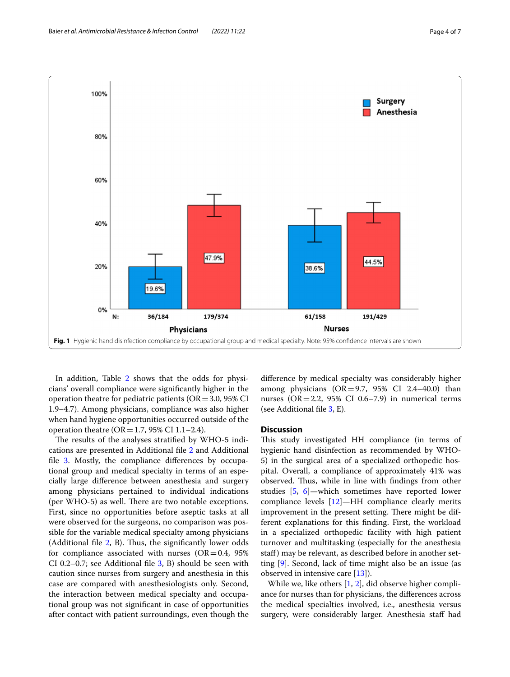

<span id="page-3-0"></span>In addition, Table [2](#page-4-0) shows that the odds for physicians' overall compliance were signifcantly higher in the operation theatre for pediatric patients ( $OR = 3.0$ , 95% CI 1.9–4.7). Among physicians, compliance was also higher when hand hygiene opportunities occurred outside of the operation theatre ( $OR = 1.7$ , 95% CI 1.1–2.4).

The results of the analyses stratified by WHO-5 indications are presented in Additional fle [2](#page-5-1) and Additional file [3](#page-5-2). Mostly, the compliance differences by occupational group and medical specialty in terms of an especially large diference between anesthesia and surgery among physicians pertained to individual indications (per WHO-5) as well. There are two notable exceptions. First, since no opportunities before aseptic tasks at all were observed for the surgeons, no comparison was possible for the variable medical specialty among physicians (Additional file  $2$ , B). Thus, the significantly lower odds for compliance associated with nurses ( $OR = 0.4$ , 95%) CI 0.2–0.7; see Additional fle [3](#page-5-2), B) should be seen with caution since nurses from surgery and anesthesia in this case are compared with anesthesiologists only. Second, the interaction between medical specialty and occupational group was not signifcant in case of opportunities after contact with patient surroundings, even though the

diference by medical specialty was considerably higher among physicians  $(OR = 9.7, 95\% \text{ CI } 2.4-40.0)$  than nurses ( $OR = 2.2$ , 95% CI 0.6–7.9) in numerical terms (see Additional fle [3,](#page-5-2) E).

#### **Discussion**

This study investigated HH compliance (in terms of hygienic hand disinfection as recommended by WHO-5) in the surgical area of a specialized orthopedic hospital. Overall, a compliance of approximately 41% was observed. Thus, while in line with findings from other studies [[5,](#page-6-8) [6](#page-6-9)]—which sometimes have reported lower compliance levels  $[12]$  $[12]$ —HH compliance clearly merits improvement in the present setting. There might be different explanations for this fnding. First, the workload in a specialized orthopedic facility with high patient turnover and multitasking (especially for the anesthesia staf) may be relevant, as described before in another setting [\[9](#page-6-5)]. Second, lack of time might also be an issue (as observed in intensive care [\[13\]](#page-6-11)).

While we, like others [\[1](#page-6-0), [2\]](#page-6-1), did observe higher compliance for nurses than for physicians, the diferences across the medical specialties involved, i.e., anesthesia versus surgery, were considerably larger. Anesthesia staff had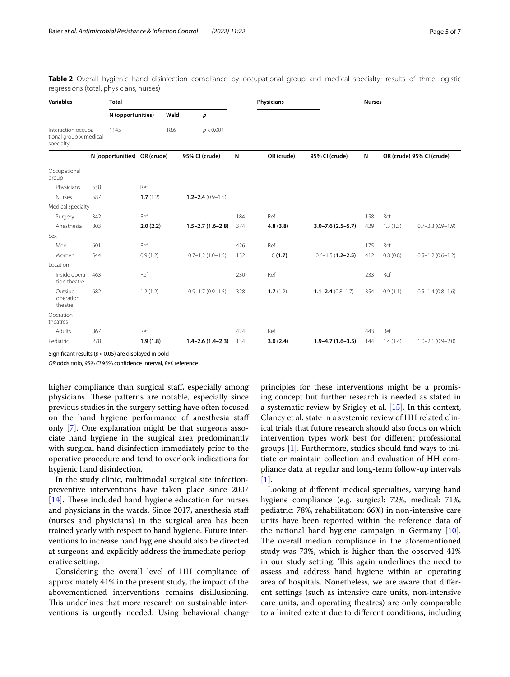| <b>Variables</b>                                           | <b>Total</b>      |            |                        |     | <b>Physicians</b> |                         |     | <b>Nurses</b>             |                        |  |
|------------------------------------------------------------|-------------------|------------|------------------------|-----|-------------------|-------------------------|-----|---------------------------|------------------------|--|
|                                                            | N (opportunities) |            | Wald<br>р              |     |                   |                         |     |                           |                        |  |
| Interaction occupa-<br>tional group x medical<br>specialty | 1145              | 18.6       | p < 0.001              |     |                   |                         |     |                           |                        |  |
|                                                            | N (opportunities) | OR (crude) | 95% CI (crude)         | И   | OR (crude)        | 95% CI (crude)          | N   | OR (crude) 95% CI (crude) |                        |  |
| Occupational<br>group                                      |                   |            |                        |     |                   |                         |     |                           |                        |  |
| Physicians                                                 | 558               | Ref        |                        |     |                   |                         |     |                           |                        |  |
| Nurses                                                     | 587               | 1.7(1.2)   | $1.2 - 2.4(0.9 - 1.5)$ |     |                   |                         |     |                           |                        |  |
| Medical specialty                                          |                   |            |                        |     |                   |                         |     |                           |                        |  |
| Surgery                                                    | 342               | Ref        |                        | 184 | Ref               |                         | 158 | Ref                       |                        |  |
| Anesthesia                                                 | 803               | 2.0(2.2)   | $1.5 - 2.7(1.6 - 2.8)$ | 374 | 4.8(3.8)          | $3.0 - 7.6$ (2.5 - 5.7) | 429 | 1.3(1.3)                  | $0.7 - 2.3(0.9 - 1.9)$ |  |
| Sex                                                        |                   |            |                        |     |                   |                         |     |                           |                        |  |
| Men                                                        | 601               | Ref        |                        | 426 | Ref               |                         | 175 | Ref                       |                        |  |
| Women                                                      | 544               | 0.9(1.2)   | $0.7 - 1.2$ (1.0-1.5)  | 132 | 1.0(1.7)          | $0.6 - 1.5$ (1.2-2.5)   | 412 | 0.8(0.8)                  | $0.5 - 1.2(0.6 - 1.2)$ |  |
| Location                                                   |                   |            |                        |     |                   |                         |     |                           |                        |  |
| Inside opera-<br>tion theatre                              | 463               | Ref        |                        | 230 | Ref               |                         | 233 | Ref                       |                        |  |
| Outside<br>operation<br>theatre                            | 682               | 1.2(1.2)   | $0.9 - 1.7(0.9 - 1.5)$ | 328 | 1.7(1.2)          | $1.1 - 2.4(0.8 - 1.7)$  | 354 | 0.9(1.1)                  | $0.5 - 1.4(0.8 - 1.6)$ |  |
| Operation<br>theatres                                      |                   |            |                        |     |                   |                         |     |                           |                        |  |
| Adults                                                     | 867               | Ref        |                        | 424 | Ref               |                         | 443 | Ref                       |                        |  |
| Pediatric                                                  | 278               | 1.9(1.8)   | $1.4 - 2.6(1.4 - 2.3)$ | 134 | 3.0(2.4)          | $1.9 - 4.7(1.6 - 3.5)$  | 144 | 1.4(1.4)                  | $1.0 - 2.1(0.9 - 2.0)$ |  |

<span id="page-4-0"></span>**Table 2** Overall hygienic hand disinfection compliance by occupational group and medical specialty: results of three logistic regressions (total, physicians, nurses)

Signifcant results (*p*<0.05) are displayed in bold

*OR* odds ratio, *95% CI* 95% confdence interval, *Ref.* reference

higher compliance than surgical staf, especially among physicians. These patterns are notable, especially since previous studies in the surgery setting have often focused on the hand hygiene performance of anesthesia staf only [\[7](#page-6-12)]. One explanation might be that surgeons associate hand hygiene in the surgical area predominantly with surgical hand disinfection immediately prior to the operative procedure and tend to overlook indications for hygienic hand disinfection.

In the study clinic, multimodal surgical site infectionpreventive interventions have taken place since 2007  $[14]$  $[14]$ . These included hand hygiene education for nurses and physicians in the wards. Since 2017, anesthesia staf (nurses and physicians) in the surgical area has been trained yearly with respect to hand hygiene. Future interventions to increase hand hygiene should also be directed at surgeons and explicitly address the immediate perioperative setting.

Considering the overall level of HH compliance of approximately 41% in the present study, the impact of the abovementioned interventions remains disillusioning. This underlines that more research on sustainable interventions is urgently needed. Using behavioral change

principles for these interventions might be a promising concept but further research is needed as stated in a systematic review by Srigley et al. [[15\]](#page-6-14). In this context, Clancy et al. state in a systemic review of HH related clinical trials that future research should also focus on which intervention types work best for diferent professional groups [[1\]](#page-6-0). Furthermore, studies should fnd ways to initiate or maintain collection and evaluation of HH compliance data at regular and long-term follow-up intervals  $[1]$  $[1]$ .

Looking at diferent medical specialties, varying hand hygiene compliance (e.g. surgical: 72%, medical: 71%, pediatric: 78%, rehabilitation: 66%) in non-intensive care units have been reported within the reference data of the national hand hygiene campaign in Germany [\[10](#page-6-6)]. The overall median compliance in the aforementioned study was 73%, which is higher than the observed 41% in our study setting. This again underlines the need to assess and address hand hygiene within an operating area of hospitals. Nonetheless, we are aware that diferent settings (such as intensive care units, non-intensive care units, and operating theatres) are only comparable to a limited extent due to diferent conditions, including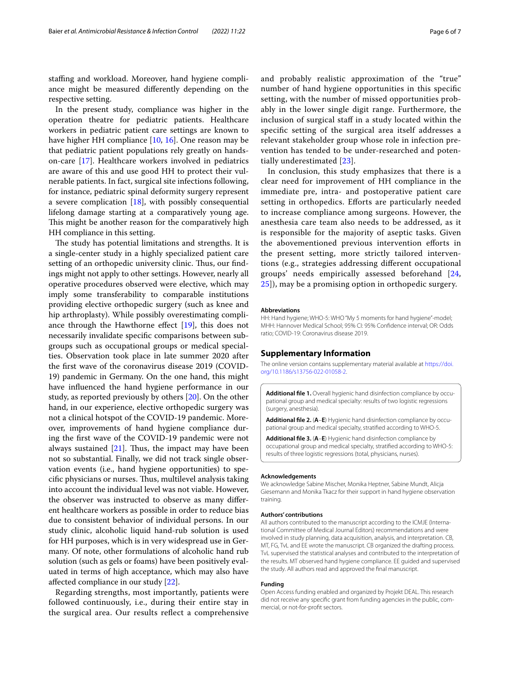stafng and workload. Moreover, hand hygiene compliance might be measured diferently depending on the respective setting.

In the present study, compliance was higher in the operation theatre for pediatric patients. Healthcare workers in pediatric patient care settings are known to have higher HH compliance [[10,](#page-6-6) [16\]](#page-6-15). One reason may be that pediatric patient populations rely greatly on handson-care [\[17\]](#page-6-16). Healthcare workers involved in pediatrics are aware of this and use good HH to protect their vulnerable patients. In fact, surgical site infections following, for instance, pediatric spinal deformity surgery represent a severe complication [\[18](#page-6-17)], with possibly consequential lifelong damage starting at a comparatively young age. This might be another reason for the comparatively high HH compliance in this setting.

The study has potential limitations and strengths. It is a single-center study in a highly specialized patient care setting of an orthopedic university clinic. Thus, our findings might not apply to other settings. However, nearly all operative procedures observed were elective, which may imply some transferability to comparable institutions providing elective orthopedic surgery (such as knee and hip arthroplasty). While possibly overestimating compliance through the Hawthorne efect [[19\]](#page-6-18), this does not necessarily invalidate specifc comparisons between subgroups such as occupational groups or medical specialties. Observation took place in late summer 2020 after the frst wave of the coronavirus disease 2019 (COVID-19) pandemic in Germany. On the one hand, this might have infuenced the hand hygiene performance in our study, as reported previously by others [[20\]](#page-6-19). On the other hand, in our experience, elective orthopedic surgery was not a clinical hotspot of the COVID-19 pandemic. Moreover, improvements of hand hygiene compliance during the frst wave of the COVID-19 pandemic were not always sustained  $[21]$  $[21]$ . Thus, the impact may have been not so substantial. Finally, we did not track single observation events (i.e., hand hygiene opportunities) to specific physicians or nurses. Thus, multilevel analysis taking into account the individual level was not viable. However, the observer was instructed to observe as many diferent healthcare workers as possible in order to reduce bias due to consistent behavior of individual persons. In our study clinic, alcoholic liquid hand-rub solution is used for HH purposes, which is in very widespread use in Germany. Of note, other formulations of alcoholic hand rub solution (such as gels or foams) have been positively evaluated in terms of high acceptance, which may also have afected compliance in our study [[22\]](#page-6-21).

Regarding strengths, most importantly, patients were followed continuously, i.e., during their entire stay in the surgical area. Our results refect a comprehensive and probably realistic approximation of the "true" number of hand hygiene opportunities in this specifc setting, with the number of missed opportunities probably in the lower single digit range. Furthermore, the inclusion of surgical staff in a study located within the specifc setting of the surgical area itself addresses a relevant stakeholder group whose role in infection prevention has tended to be under-researched and potentially underestimated [[23\]](#page-6-22).

In conclusion, this study emphasizes that there is a clear need for improvement of HH compliance in the immediate pre, intra- and postoperative patient care setting in orthopedics. Eforts are particularly needed to increase compliance among surgeons. However, the anesthesia care team also needs to be addressed, as it is responsible for the majority of aseptic tasks. Given the abovementioned previous intervention eforts in the present setting, more strictly tailored interventions (e.g., strategies addressing diferent occupational groups' needs empirically assessed beforehand [\[24](#page-6-23), [25\]](#page-6-24)), may be a promising option in orthopedic surgery.

#### **Abbreviations**

HH: Hand hygiene; WHO-5: WHO "My 5 moments for hand hygiene"-model; MHH: Hannover Medical School; 95% CI: 95% Confdence interval; OR: Odds ratio; COVID-19: Coronavirus disease 2019.

#### **Supplementary Information**

The online version contains supplementary material available at [https://doi.](https://doi.org/10.1186/s13756-022-01058-2) [org/10.1186/s13756-022-01058-2](https://doi.org/10.1186/s13756-022-01058-2).

<span id="page-5-0"></span>**Additional fle 1.** Overall hygienic hand disinfection compliance by occupational group and medical specialty: results of two logistic regressions (surgery, anesthesia).

<span id="page-5-2"></span><span id="page-5-1"></span>**Additional fle 2.** (**A**–**E**) Hygienic hand disinfection compliance by occupational group and medical specialty, stratifed according to WHO-5.

**Additional fle 3.** (**A**–**E**) Hygienic hand disinfection compliance by occupational group and medical specialty, stratifed according to WHO-5: results of three logistic regressions (total, physicians, nurses).

#### **Acknowledgements**

We acknowledge Sabine Mischer, Monika Heptner, Sabine Mundt, Alicja Giesemann and Monika Tkacz for their support in hand hygiene observation training.

#### **Authors' contributions**

All authors contributed to the manuscript according to the ICMJE (International Committee of Medical Journal Editors) recommendations and were involved in study planning, data acquisition, analysis, and interpretation. CB, MT, FG, TvL and EE wrote the manuscript. CB organized the drafting process. TvL supervised the statistical analyses and contributed to the interpretation of the results. MT observed hand hygiene compliance. EE guided and supervised the study. All authors read and approved the fnal manuscript.

#### **Funding**

Open Access funding enabled and organized by Projekt DEAL. This research did not receive any specifc grant from funding agencies in the public, commercial, or not-for-proft sectors.